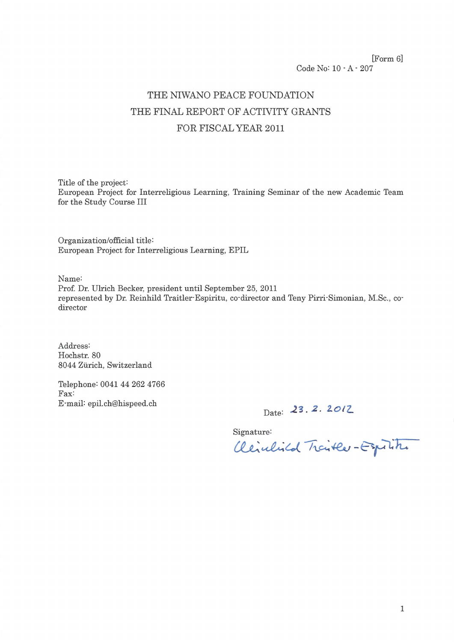[Form 6] Code No: 10 - A - 207

# THE NIWANO PEACE FOUNDATION THE FINAL REPORT OF ACTIVITY GRANTS FOR FISCAL YEAR 2011

Title of the project: European Project for Interreligious Learning, Training Seminar of the new Academic Team for the Study Course III

Organization/official title: European Project for Interreligious Learning, EPIL

Name:

Prof. Dr. Ulrich Becker, president until September 25, 2011 represented by Dr. Reinhild Traitler-Espiritu, co-director and Teny Pirri-Simonian, M.Sc., codirector

Address: Hochstr. 80 8044 Zürich, Switzerland

Telephone: 0041 44 262 4766 Fax: E-mail: epil.ch@hispeed.ch

Date: 23.2.2012

Signature:

Cleichild Traitle - Espain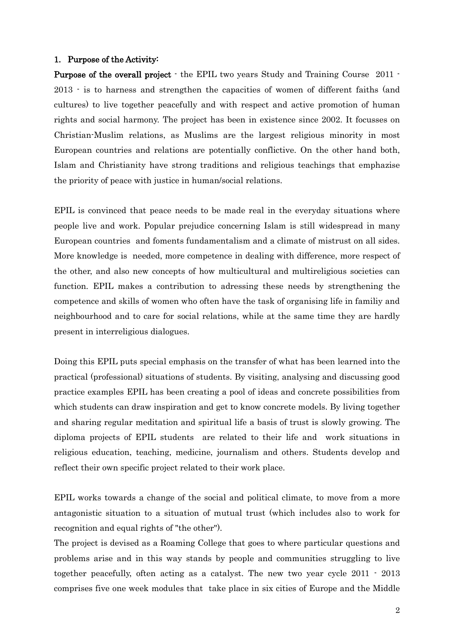#### 1. Purpose of the Activity:

Purpose of the overall project - the EPIL two years Study and Training Course 2011 - 2013 - is to harness and strengthen the capacities of women of different faiths (and cultures) to live together peacefully and with respect and active promotion of human rights and social harmony. The project has been in existence since 2002. It focusses on Christian-Muslim relations, as Muslims are the largest religious minority in most European countries and relations are potentially conflictive. On the other hand both, Islam and Christianity have strong traditions and religious teachings that emphazise the priority of peace with justice in human/social relations.

EPIL is convinced that peace needs to be made real in the everyday situations where people live and work. Popular prejudice concerning Islam is still widespread in many European countries and foments fundamentalism and a climate of mistrust on all sides. More knowledge is needed, more competence in dealing with difference, more respect of the other, and also new concepts of how multicultural and multireligious societies can function. EPIL makes a contribution to adressing these needs by strengthening the competence and skills of women who often have the task of organising life in familiy and neighbourhood and to care for social relations, while at the same time they are hardly present in interreligious dialogues.

Doing this EPIL puts special emphasis on the transfer of what has been learned into the practical (professional) situations of students. By visiting, analysing and discussing good practice examples EPIL has been creating a pool of ideas and concrete possibilities from which students can draw inspiration and get to know concrete models. By living together and sharing regular meditation and spiritual life a basis of trust is slowly growing. The diploma projects of EPIL students are related to their life and work situations in religious education, teaching, medicine, journalism and others. Students develop and reflect their own specific project related to their work place.

EPIL works towards a change of the social and political climate, to move from a more antagonistic situation to a situation of mutual trust (which includes also to work for recognition and equal rights of "the other").

The project is devised as a Roaming College that goes to where particular questions and problems arise and in this way stands by people and communities struggling to live together peacefully, often acting as a catalyst. The new two year cycle 2011 - 2013 comprises five one week modules that take place in six cities of Europe and the Middle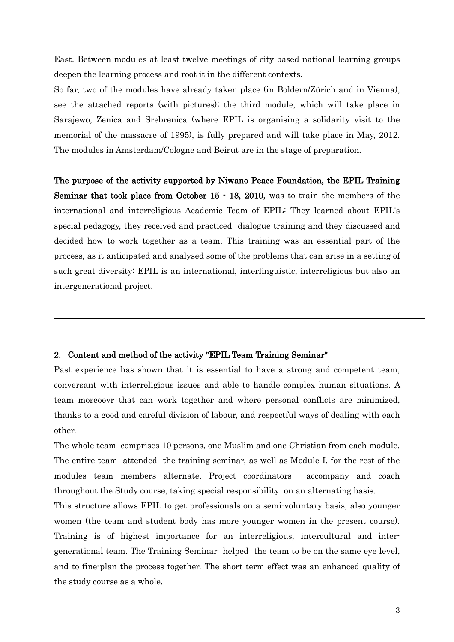East. Between modules at least twelve meetings of city based national learning groups deepen the learning process and root it in the different contexts.

So far, two of the modules have already taken place (in Boldern/Zürich and in Vienna), see the attached reports (with pictures); the third module, which will take place in Sarajewo, Zenica and Srebrenica (where EPIL is organising a solidarity visit to the memorial of the massacre of 1995), is fully prepared and will take place in May, 2012. The modules in Amsterdam/Cologne and Beirut are in the stage of preparation.

The purpose of the activity supported by Niwano Peace Foundation, the EPIL Training Seminar that took place from October 15 - 18, 2010, was to train the members of the international and interreligious Academic Team of EPIL: They learned about EPIL's special pedagogy, they received and practiced dialogue training and they discussed and decided how to work together as a team. This training was an essential part of the process, as it anticipated and analysed some of the problems that can arise in a setting of such great diversity: EPIL is an international, interlinguistic, interreligious but also an intergenerational project.

#### 2. Content and method of the activity "EPIL Team Training Seminar"

Past experience has shown that it is essential to have a strong and competent team, conversant with interreligious issues and able to handle complex human situations. A team moreoevr that can work together and where personal conflicts are minimized, thanks to a good and careful division of labour, and respectful ways of dealing with each other.

The whole team comprises 10 persons, one Muslim and one Christian from each module. The entire team attended the training seminar, as well as Module I, for the rest of the modules team members alternate. Project coordinators accompany and coach throughout the Study course, taking special responsibility on an alternating basis.

This structure allows EPIL to get professionals on a semi-voluntary basis, also younger women (the team and student body has more younger women in the present course). Training is of highest importance for an interreligious, intercultural and intergenerational team. The Training Seminar helped the team to be on the same eye level, and to fine-plan the process together. The short term effect was an enhanced quality of the study course as a whole.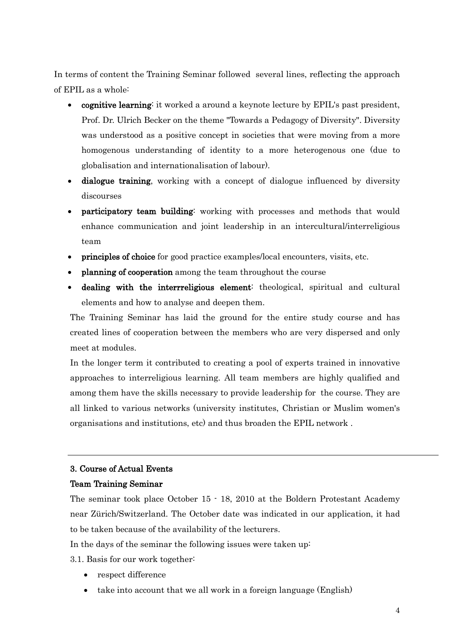In terms of content the Training Seminar followed several lines, reflecting the approach of EPIL as a whole:

- cognitive learning: it worked a around a keynote lecture by EPIL's past president, Prof. Dr. Ulrich Becker on the theme "Towards a Pedagogy of Diversity". Diversity was understood as a positive concept in societies that were moving from a more homogenous understanding of identity to a more heterogenous one (due to globalisation and internationalisation of labour).
- dialogue training, working with a concept of dialogue influenced by diversity discourses
- participatory team building: working with processes and methods that would enhance communication and joint leadership in an intercultural/interreligious team
- principles of choice for good practice examples/local encounters, visits, etc.
- planning of cooperation among the team throughout the course
- dealing with the interrreligious element: theological, spiritual and cultural elements and how to analyse and deepen them.

The Training Seminar has laid the ground for the entire study course and has created lines of cooperation between the members who are very dispersed and only meet at modules.

In the longer term it contributed to creating a pool of experts trained in innovative approaches to interreligious learning. All team members are highly qualified and among them have the skills necessary to provide leadership for the course. They are all linked to various networks (university institutes, Christian or Muslim women's organisations and institutions, etc) and thus broaden the EPIL network .

## 3. Course of Actual Events

#### Team Training Seminar

The seminar took place October 15 - 18, 2010 at the Boldern Protestant Academy near Zürich/Switzerland. The October date was indicated in our application, it had to be taken because of the availability of the lecturers.

In the days of the seminar the following issues were taken up:

3.1. Basis for our work together:

- respect difference
- take into account that we all work in a foreign language (English)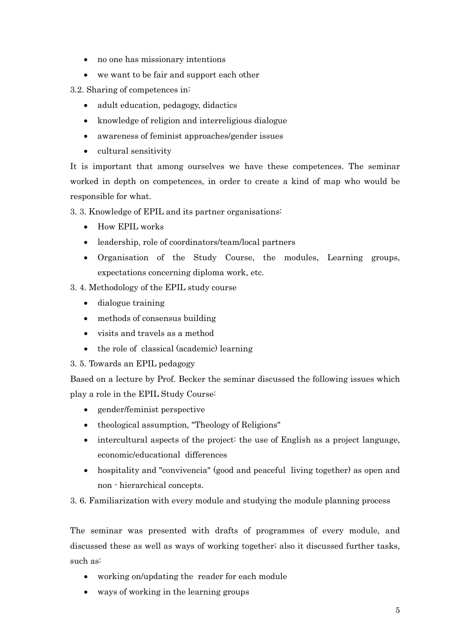- no one has missionary intentions
- we want to be fair and support each other

3.2. Sharing of competences in:

- adult education, pedagogy, didactics
- knowledge of religion and interreligious dialogue
- awareness of feminist approaches/gender issues
- cultural sensitivity

It is important that among ourselves we have these competences. The seminar worked in depth on competences, in order to create a kind of map who would be responsible for what.

3. 3. Knowledge of EPIL and its partner organisations:

- How EPIL works
- leadership, role of coordinators/team/local partners
- Organisation of the Study Course, the modules, Learning groups, expectations concerning diploma work, etc.

3. 4. Methodology of the EPIL study course

- dialogue training
- methods of consensus building
- visits and travels as a method
- the role of classical (academic) learning

## 3. 5. Towards an EPIL pedagogy

Based on a lecture by Prof. Becker the seminar discussed the following issues which play a role in the EPIL Study Course:

- gender/feminist perspective
- theological assumption, "Theology of Religions"
- intercultural aspects of the project: the use of English as a project language, economic/educational differences
- hospitality and "convivencia" (good and peaceful living together) as open and non - hierarchical concepts.

3. 6. Familiarization with every module and studying the module planning process

The seminar was presented with drafts of programmes of every module, and discussed these as well as ways of working together; also it discussed further tasks, such as:

- working on/updating the reader for each module
- ways of working in the learning groups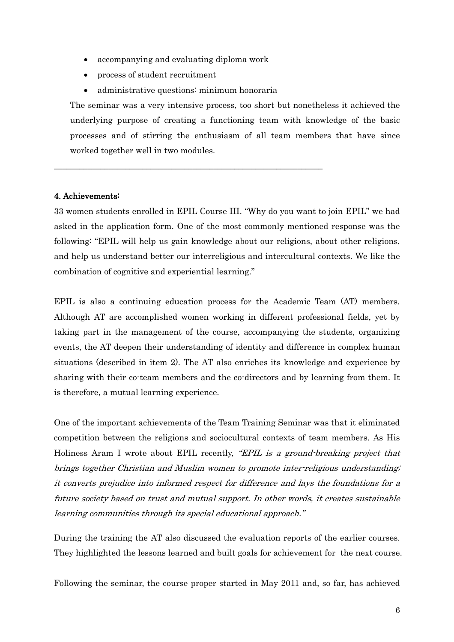- accompanying and evaluating diploma work
- process of student recruitment
- administrative questions: minimum honoraria

\_\_\_\_\_\_\_\_\_\_\_\_\_\_\_\_\_\_\_\_\_\_\_\_\_\_\_\_\_\_\_\_\_\_\_\_\_\_\_\_\_\_\_\_\_\_\_\_\_\_\_\_\_\_\_\_\_\_\_\_\_\_\_\_

The seminar was a very intensive process, too short but nonetheless it achieved the underlying purpose of creating a functioning team with knowledge of the basic processes and of stirring the enthusiasm of all team members that have since worked together well in two modules.

## 4. Achievements:

33 women students enrolled in EPIL Course III. "Why do you want to join EPIL" we had asked in the application form. One of the most commonly mentioned response was the following: "EPIL will help us gain knowledge about our religions, about other religions, and help us understand better our interreligious and intercultural contexts. We like the combination of cognitive and experiential learning."

EPIL is also a continuing education process for the Academic Team (AT) members. Although AT are accomplished women working in different professional fields, yet by taking part in the management of the course, accompanying the students, organizing events, the AT deepen their understanding of identity and difference in complex human situations (described in item 2). The AT also enriches its knowledge and experience by sharing with their co-team members and the co-directors and by learning from them. It is therefore, a mutual learning experience.

One of the important achievements of the Team Training Seminar was that it eliminated competition between the religions and sociocultural contexts of team members. As His Holiness Aram I wrote about EPIL recently, "EPIL is a ground-breaking project that brings together Christian and Muslim women to promote inter-religious understanding; it converts prejudice into informed respect for difference and lays the foundations for a future society based on trust and mutual support. In other words, it creates sustainable learning communities through its special educational approach."

During the training the AT also discussed the evaluation reports of the earlier courses. They highlighted the lessons learned and built goals for achievement for the next course.

Following the seminar, the course proper started in May 2011 and, so far, has achieved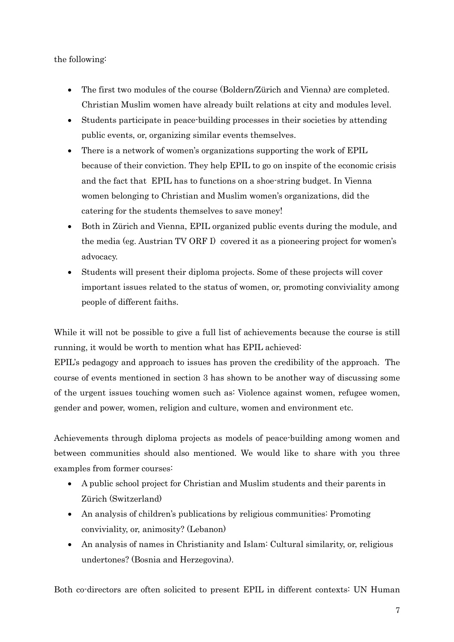the following:

- The first two modules of the course (Boldern/Zürich and Vienna) are completed. Christian Muslim women have already built relations at city and modules level.
- Students participate in peace-building processes in their societies by attending public events, or, organizing similar events themselves.
- There is a network of women's organizations supporting the work of EPIL because of their conviction. They help EPIL to go on inspite of the economic crisis and the fact that EPIL has to functions on a shoe-string budget. In Vienna women belonging to Christian and Muslim women's organizations, did the catering for the students themselves to save money!
- Both in Zürich and Vienna, EPIL organized public events during the module, and the media (eg. Austrian TV ORF I) covered it as a pioneering project for women's advocacy.
- Students will present their diploma projects. Some of these projects will cover important issues related to the status of women, or, promoting conviviality among people of different faiths.

While it will not be possible to give a full list of achievements because the course is still running, it would be worth to mention what has EPIL achieved:

EPIL's pedagogy and approach to issues has proven the credibility of the approach. The course of events mentioned in section 3 has shown to be another way of discussing some of the urgent issues touching women such as: Violence against women, refugee women, gender and power, women, religion and culture, women and environment etc.

Achievements through diploma projects as models of peace-building among women and between communities should also mentioned. We would like to share with you three examples from former courses:

- A public school project for Christian and Muslim students and their parents in Zürich (Switzerland)
- An analysis of children's publications by religious communities: Promoting conviviality, or, animosity? (Lebanon)
- An analysis of names in Christianity and Islam: Cultural similarity, or, religious undertones? (Bosnia and Herzegovina).

Both co-directors are often solicited to present EPIL in different contexts: UN Human